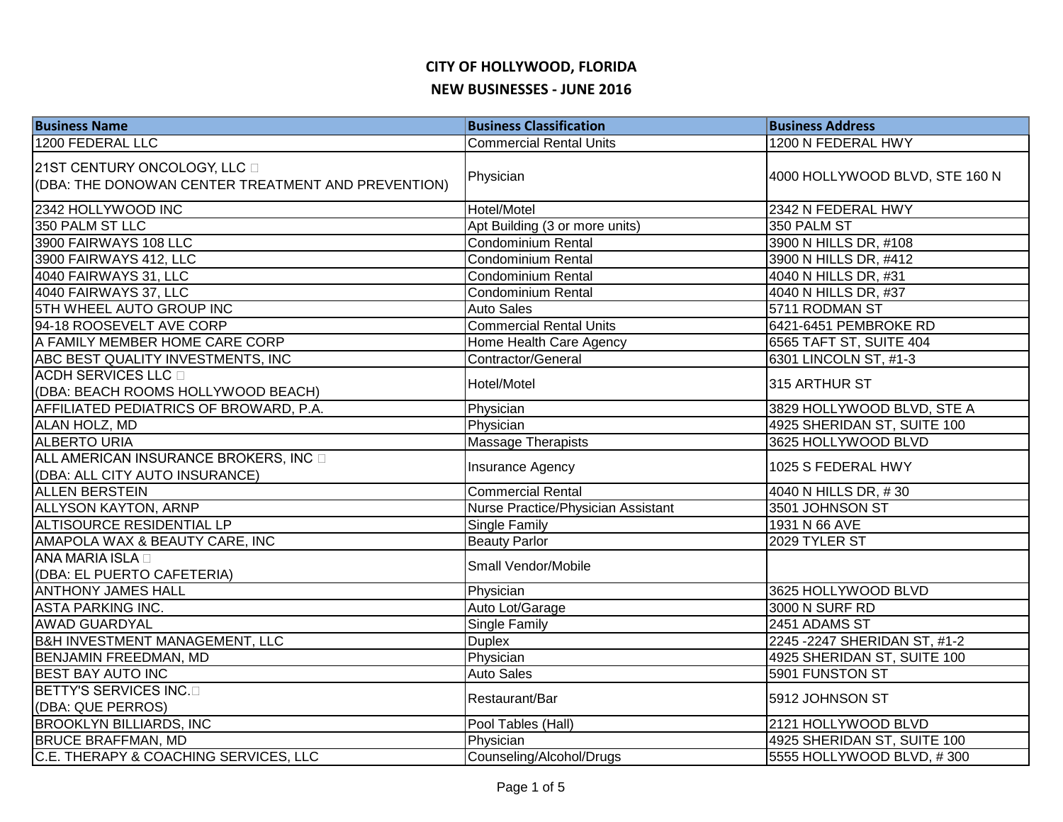| <b>Business Name</b>                                                               | <b>Business Classification</b>     | <b>Business Address</b>        |
|------------------------------------------------------------------------------------|------------------------------------|--------------------------------|
| 1200 FEDERAL LLC                                                                   | <b>Commercial Rental Units</b>     | 1200 N FEDERAL HWY             |
| 21ST CENTURY ONCOLOGY, LLC D<br>(DBA: THE DONOWAN CENTER TREATMENT AND PREVENTION) | Physician                          | 4000 HOLLYWOOD BLVD, STE 160 N |
| 2342 HOLLYWOOD INC                                                                 | Hotel/Motel                        | 2342 N FEDERAL HWY             |
| 350 PALM ST LLC                                                                    | Apt Building (3 or more units)     | 350 PALM ST                    |
| 3900 FAIRWAYS 108 LLC                                                              | Condominium Rental                 | 3900 N HILLS DR, #108          |
| 3900 FAIRWAYS 412, LLC                                                             | <b>Condominium Rental</b>          | 3900 N HILLS DR, #412          |
| 4040 FAIRWAYS 31, LLC                                                              | <b>Condominium Rental</b>          | 4040 N HILLS DR, #31           |
| 4040 FAIRWAYS 37, LLC                                                              | <b>Condominium Rental</b>          | 4040 N HILLS DR, #37           |
| <b>5TH WHEEL AUTO GROUP INC</b>                                                    | <b>Auto Sales</b>                  | 5711 RODMAN ST                 |
| 94-18 ROOSEVELT AVE CORP                                                           | <b>Commercial Rental Units</b>     | 6421-6451 PEMBROKE RD          |
| A FAMILY MEMBER HOME CARE CORP                                                     | Home Health Care Agency            | 6565 TAFT ST, SUITE 404        |
| ABC BEST QUALITY INVESTMENTS, INC                                                  | Contractor/General                 | 6301 LINCOLN ST, #1-3          |
| <b>ACDH SERVICES LLC</b><br>(DBA: BEACH ROOMS HOLLYWOOD BEACH)                     | Hotel/Motel                        | 315 ARTHUR ST                  |
| AFFILIATED PEDIATRICS OF BROWARD, P.A.                                             | Physician                          | 3829 HOLLYWOOD BLVD, STE A     |
| ALAN HOLZ, MD                                                                      | Physician                          | 4925 SHERIDAN ST, SUITE 100    |
| <b>ALBERTO URIA</b>                                                                | <b>Massage Therapists</b>          | 3625 HOLLYWOOD BLVD            |
| ALL AMERICAN INSURANCE BROKERS, INC<br>(DBA: ALL CITY AUTO INSURANCE)              | <b>Insurance Agency</b>            | 1025 S FEDERAL HWY             |
| <b>ALLEN BERSTEIN</b>                                                              | <b>Commercial Rental</b>           | 4040 N HILLS DR, #30           |
| <b>ALLYSON KAYTON, ARNP</b>                                                        | Nurse Practice/Physician Assistant | 3501 JOHNSON ST                |
| <b>ALTISOURCE RESIDENTIAL LP</b>                                                   | Single Family                      | 1931 N 66 AVE                  |
| AMAPOLA WAX & BEAUTY CARE, INC                                                     | <b>Beauty Parlor</b>               | 2029 TYLER ST                  |
| ANA MARIA ISLA <sub>D</sub><br>(DBA: EL PUERTO CAFETERIA)                          | Small Vendor/Mobile                |                                |
| <b>ANTHONY JAMES HALL</b>                                                          | Physician                          | 3625 HOLLYWOOD BLVD            |
| <b>ASTA PARKING INC.</b>                                                           | Auto Lot/Garage                    | 3000 N SURF RD                 |
| <b>AWAD GUARDYAL</b>                                                               | Single Family                      | 2451 ADAMS ST                  |
| <b>B&amp;H INVESTMENT MANAGEMENT, LLC</b>                                          | <b>Duplex</b>                      | 2245 - 2247 SHERIDAN ST, #1-2  |
| <b>BENJAMIN FREEDMAN, MD</b>                                                       | Physician                          | 4925 SHERIDAN ST, SUITE 100    |
| <b>BEST BAY AUTO INC</b>                                                           | <b>Auto Sales</b>                  | 5901 FUNSTON ST                |
| BETTY'S SERVICES INC.<br>(DBA: QUE PERROS)                                         | Restaurant/Bar                     | 5912 JOHNSON ST                |
| <b>BROOKLYN BILLIARDS, INC</b>                                                     | Pool Tables (Hall)                 | 2121 HOLLYWOOD BLVD            |
| <b>BRUCE BRAFFMAN, MD</b>                                                          | Physician                          | 4925 SHERIDAN ST, SUITE 100    |
| C.E. THERAPY & COACHING SERVICES, LLC                                              | Counseling/Alcohol/Drugs           | 5555 HOLLYWOOD BLVD, #300      |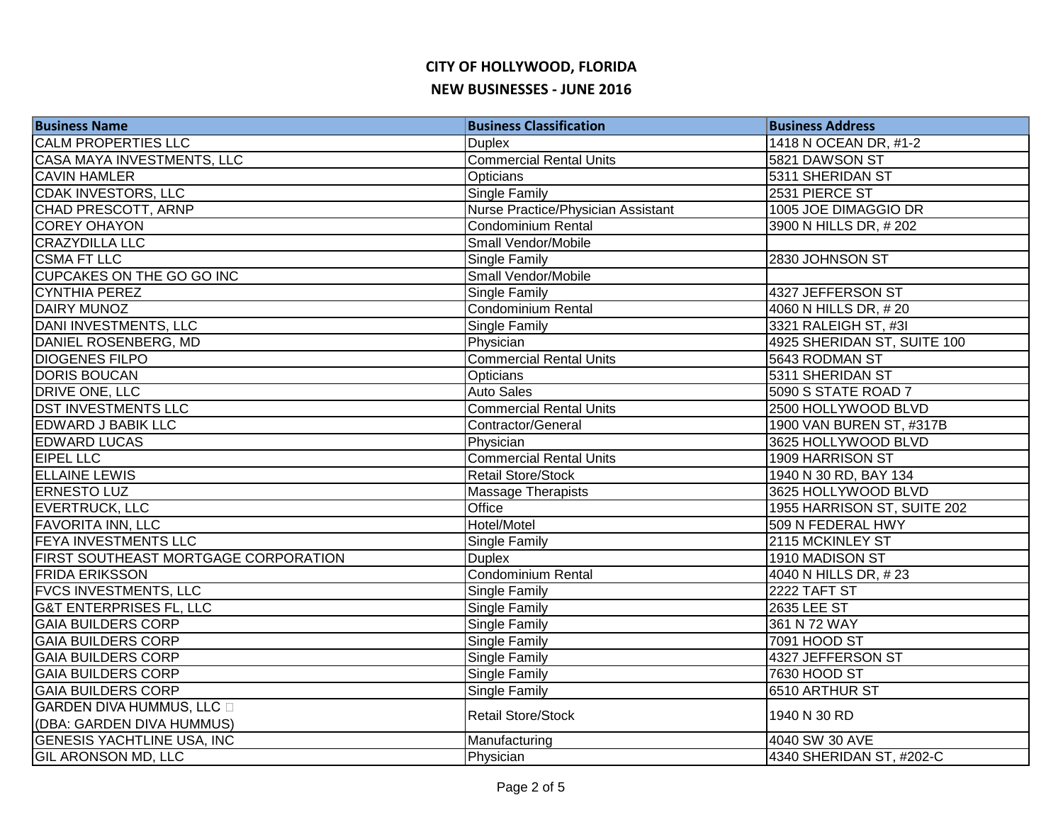| <b>Business Name</b>                        | <b>Business Classification</b>     | <b>Business Address</b>     |
|---------------------------------------------|------------------------------------|-----------------------------|
| <b>CALM PROPERTIES LLC</b>                  | <b>Duplex</b>                      | 1418 N OCEAN DR, #1-2       |
| <b>CASA MAYA INVESTMENTS, LLC</b>           | <b>Commercial Rental Units</b>     | 5821 DAWSON ST              |
| <b>CAVIN HAMLER</b>                         | Opticians                          | 5311 SHERIDAN ST            |
| <b>CDAK INVESTORS, LLC</b>                  | <b>Single Family</b>               | 2531 PIERCE ST              |
| CHAD PRESCOTT, ARNP                         | Nurse Practice/Physician Assistant | 1005 JOE DIMAGGIO DR        |
| <b>COREY OHAYON</b>                         | Condominium Rental                 | 3900 N HILLS DR, #202       |
| <b>CRAZYDILLA LLC</b>                       | Small Vendor/Mobile                |                             |
| <b>CSMA FT LLC</b>                          | Single Family                      | 2830 JOHNSON ST             |
| CUPCAKES ON THE GO GO INC                   | Small Vendor/Mobile                |                             |
| <b>CYNTHIA PEREZ</b>                        | Single Family                      | 4327 JEFFERSON ST           |
| <b>DAIRY MUNOZ</b>                          | Condominium Rental                 | 4060 N HILLS DR, #20        |
| DANI INVESTMENTS, LLC                       | Single Family                      | 3321 RALEIGH ST, #3I        |
| DANIEL ROSENBERG, MD                        | Physician                          | 4925 SHERIDAN ST, SUITE 100 |
| <b>DIOGENES FILPO</b>                       | <b>Commercial Rental Units</b>     | 5643 RODMAN ST              |
| <b>DORIS BOUCAN</b>                         | Opticians                          | 5311 SHERIDAN ST            |
| DRIVE ONE, LLC                              | <b>Auto Sales</b>                  | 5090 S STATE ROAD 7         |
| <b>DST INVESTMENTS LLC</b>                  | <b>Commercial Rental Units</b>     | 2500 HOLLYWOOD BLVD         |
| <b>EDWARD J BABIK LLC</b>                   | Contractor/General                 | 1900 VAN BUREN ST, #317B    |
| <b>EDWARD LUCAS</b>                         | Physician                          | 3625 HOLLYWOOD BLVD         |
| <b>EIPEL LLC</b>                            | <b>Commercial Rental Units</b>     | 1909 HARRISON ST            |
| <b>ELLAINE LEWIS</b>                        | <b>Retail Store/Stock</b>          | 1940 N 30 RD, BAY 134       |
| <b>ERNESTO LUZ</b>                          | <b>Massage Therapists</b>          | 3625 HOLLYWOOD BLVD         |
| <b>EVERTRUCK, LLC</b>                       | <b>Office</b>                      | 1955 HARRISON ST, SUITE 202 |
| <b>FAVORITA INN, LLC</b>                    | Hotel/Motel                        | 509 N FEDERAL HWY           |
| <b>FEYA INVESTMENTS LLC</b>                 | Single Family                      | 2115 MCKINLEY ST            |
| <b>FIRST SOUTHEAST MORTGAGE CORPORATION</b> | <b>Duplex</b>                      | 1910 MADISON ST             |
| <b>FRIDA ERIKSSON</b>                       | <b>Condominium Rental</b>          | 4040 N HILLS DR, #23        |
| <b>FVCS INVESTMENTS, LLC</b>                | Single Family                      | 2222 TAFT ST                |
| <b>G&amp;T ENTERPRISES FL, LLC</b>          | Single Family                      | 2635 LEE ST                 |
| <b>GAIA BUILDERS CORP</b>                   | Single Family                      | 361 N 72 WAY                |
| <b>GAIA BUILDERS CORP</b>                   | Single Family                      | 7091 HOOD ST                |
| <b>GAIA BUILDERS CORP</b>                   | Single Family                      | 4327 JEFFERSON ST           |
| <b>GAIA BUILDERS CORP</b>                   | Single Family                      | 7630 HOOD ST                |
| <b>GAIA BUILDERS CORP</b>                   | Single Family                      | 6510 ARTHUR ST              |
| <b>GARDEN DIVA HUMMUS, LLC</b>              | <b>Retail Store/Stock</b>          | 1940 N 30 RD                |
| (DBA: GARDEN DIVA HUMMUS)                   |                                    |                             |
| <b>GENESIS YACHTLINE USA, INC</b>           | Manufacturing                      | 4040 SW 30 AVE              |
| <b>GIL ARONSON MD, LLC</b>                  | Physician                          | 4340 SHERIDAN ST, #202-C    |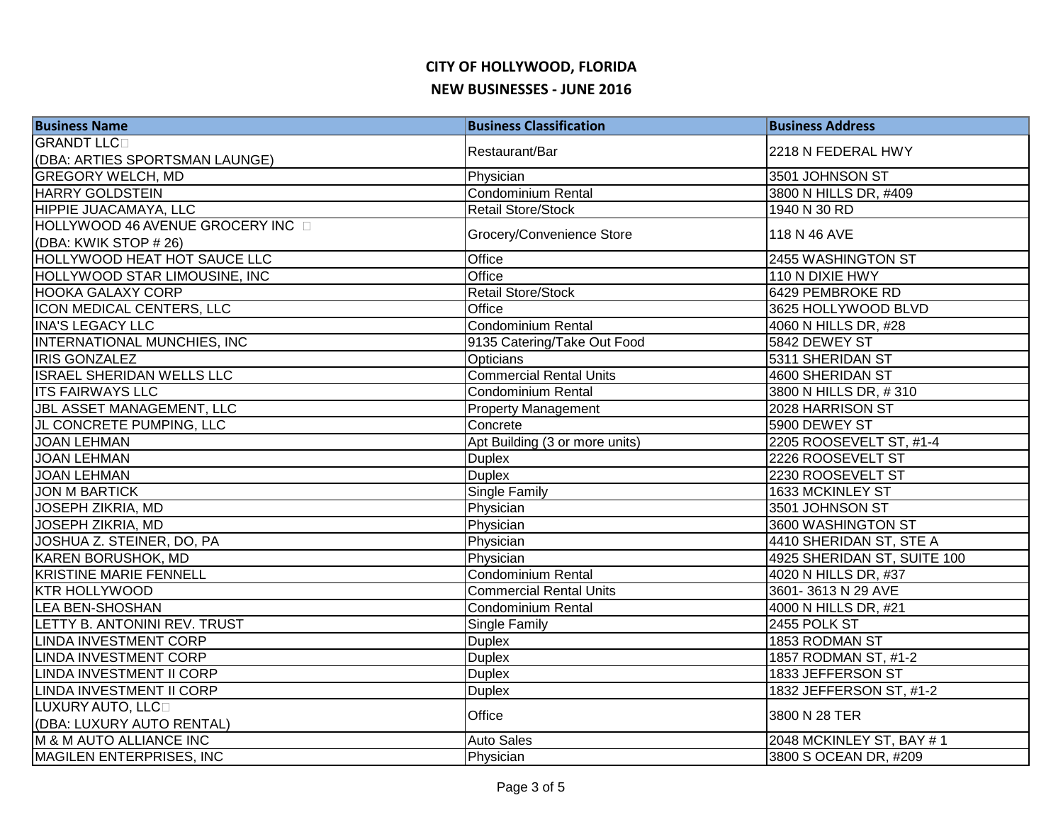| <b>Business Name</b>                 | <b>Business Classification</b> | <b>Business Address</b>     |
|--------------------------------------|--------------------------------|-----------------------------|
| <b>GRANDT LLCD</b>                   | Restaurant/Bar                 | 2218 N FEDERAL HWY          |
| (DBA: ARTIES SPORTSMAN LAUNGE)       |                                |                             |
| <b>GREGORY WELCH, MD</b>             | Physician                      | 3501 JOHNSON ST             |
| <b>HARRY GOLDSTEIN</b>               | <b>Condominium Rental</b>      | 3800 N HILLS DR, #409       |
| HIPPIE JUACAMAYA, LLC                | <b>Retail Store/Stock</b>      | 1940 N 30 RD                |
| HOLLYWOOD 46 AVENUE GROCERY INC D    | Grocery/Convenience Store      | 118 N 46 AVE                |
| (DBA: KWIK STOP # 26)                |                                |                             |
| <b>HOLLYWOOD HEAT HOT SAUCE LLC</b>  | Office                         | 2455 WASHINGTON ST          |
| <b>HOLLYWOOD STAR LIMOUSINE, INC</b> | Office                         | 110 N DIXIE HWY             |
| <b>HOOKA GALAXY CORP</b>             | Retail Store/Stock             | 6429 PEMBROKE RD            |
| ICON MEDICAL CENTERS, LLC            | Office                         | 3625 HOLLYWOOD BLVD         |
| <b>INA'S LEGACY LLC</b>              | Condominium Rental             | 4060 N HILLS DR, #28        |
| INTERNATIONAL MUNCHIES, INC          | 9135 Catering/Take Out Food    | 5842 DEWEY ST               |
| <b>IRIS GONZALEZ</b>                 | Opticians                      | 5311 SHERIDAN ST            |
| <b>ISRAEL SHERIDAN WELLS LLC</b>     | <b>Commercial Rental Units</b> | 4600 SHERIDAN ST            |
| <b>ITS FAIRWAYS LLC</b>              | Condominium Rental             | 3800 N HILLS DR, #310       |
| <b>JBL ASSET MANAGEMENT, LLC</b>     | <b>Property Management</b>     | 2028 HARRISON ST            |
| JL CONCRETE PUMPING, LLC             | Concrete                       | 5900 DEWEY ST               |
| <b>JOAN LEHMAN</b>                   | Apt Building (3 or more units) | 2205 ROOSEVELT ST, #1-4     |
| <b>JOAN LEHMAN</b>                   | <b>Duplex</b>                  | 2226 ROOSEVELT ST           |
| <b>JOAN LEHMAN</b>                   | <b>Duplex</b>                  | 2230 ROOSEVELT ST           |
| <b>JON M BARTICK</b>                 | <b>Single Family</b>           | 1633 MCKINLEY ST            |
| JOSEPH ZIKRIA, MD                    | Physician                      | 3501 JOHNSON ST             |
| <b>JOSEPH ZIKRIA, MD</b>             | Physician                      | 3600 WASHINGTON ST          |
| JOSHUA Z. STEINER, DO, PA            | Physician                      | 4410 SHERIDAN ST, STE A     |
| <b>KAREN BORUSHOK, MD</b>            | Physician                      | 4925 SHERIDAN ST, SUITE 100 |
| <b>KRISTINE MARIE FENNELL</b>        | Condominium Rental             | 4020 N HILLS DR, #37        |
| <b>KTR HOLLYWOOD</b>                 | <b>Commercial Rental Units</b> | 3601-3613 N 29 AVE          |
| <b>LEA BEN-SHOSHAN</b>               | <b>Condominium Rental</b>      | 4000 N HILLS DR, #21        |
| LETTY B. ANTONINI REV. TRUST         | Single Family                  | 2455 POLK ST                |
| <b>LINDA INVESTMENT CORP</b>         | <b>Duplex</b>                  | 1853 RODMAN ST              |
| LINDA INVESTMENT CORP                | <b>Duplex</b>                  | 1857 RODMAN ST, #1-2        |
| LINDA INVESTMENT II CORP             | <b>Duplex</b>                  | 1833 JEFFERSON ST           |
| LINDA INVESTMENT II CORP             | <b>Duplex</b>                  | 1832 JEFFERSON ST, #1-2     |
| LUXURY AUTO, LLCO                    | Office                         | 3800 N 28 TER               |
| (DBA: LUXURY AUTO RENTAL)            |                                |                             |
| M & M AUTO ALLIANCE INC              | <b>Auto Sales</b>              | 2048 MCKINLEY ST, BAY #1    |
| MAGILEN ENTERPRISES, INC             | Physician                      | 3800 S OCEAN DR, #209       |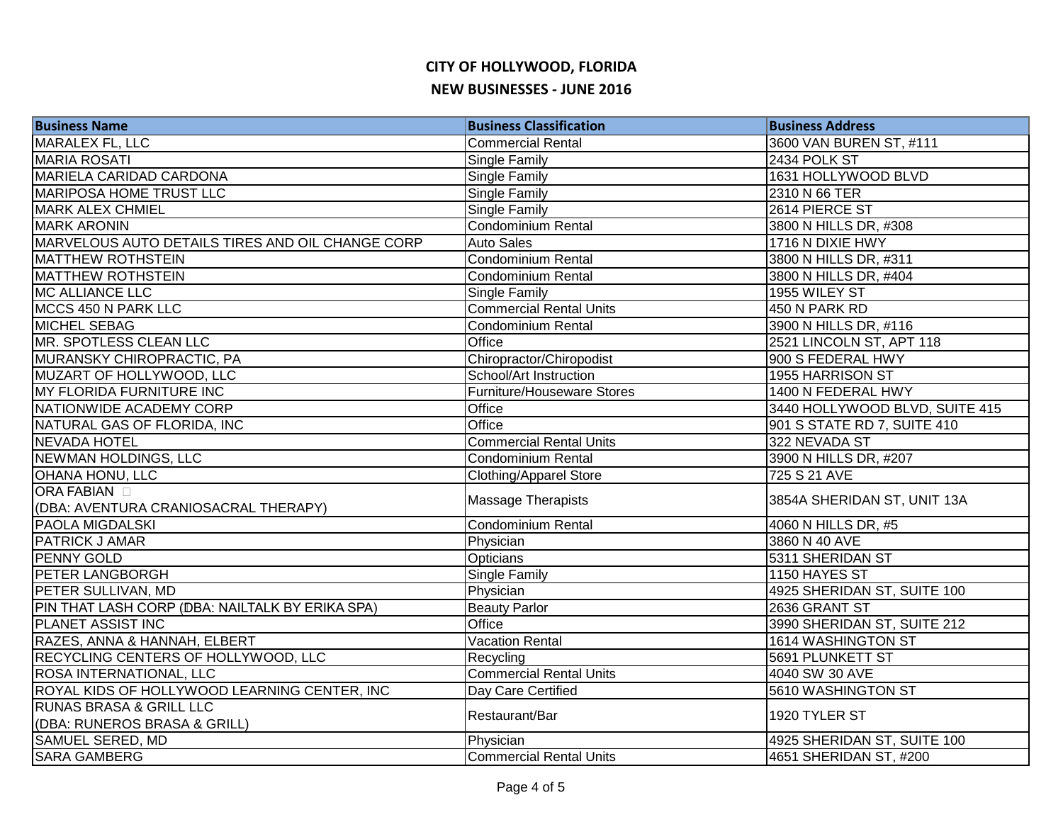| <b>Business Name</b>                                      | <b>Business Classification</b>    | <b>Business Address</b>        |
|-----------------------------------------------------------|-----------------------------------|--------------------------------|
| <b>MARALEX FL, LLC</b>                                    | <b>Commercial Rental</b>          | 3600 VAN BUREN ST, #111        |
| <b>MARIA ROSATI</b>                                       | Single Family                     | 2434 POLK ST                   |
| MARIELA CARIDAD CARDONA                                   | Single Family                     | 1631 HOLLYWOOD BLVD            |
| <b>MARIPOSA HOME TRUST LLC</b>                            | Single Family                     | 2310 N 66 TER                  |
| <b>MARK ALEX CHMIEL</b>                                   | Single Family                     | 2614 PIERCE ST                 |
| <b>MARK ARONIN</b>                                        | <b>Condominium Rental</b>         | 3800 N HILLS DR, #308          |
| MARVELOUS AUTO DETAILS TIRES AND OIL CHANGE CORP          | <b>Auto Sales</b>                 | 1716 N DIXIE HWY               |
| <b>MATTHEW ROTHSTEIN</b>                                  | <b>Condominium Rental</b>         | 3800 N HILLS DR, #311          |
| <b>MATTHEW ROTHSTEIN</b>                                  | <b>Condominium Rental</b>         | 3800 N HILLS DR, #404          |
| <b>MC ALLIANCE LLC</b>                                    | Single Family                     | 1955 WILEY ST                  |
| MCCS 450 N PARK LLC                                       | <b>Commercial Rental Units</b>    | 450 N PARK RD                  |
| <b>MICHEL SEBAG</b>                                       | <b>Condominium Rental</b>         | 3900 N HILLS DR, #116          |
| MR. SPOTLESS CLEAN LLC                                    | Office                            | 2521 LINCOLN ST, APT 118       |
| <b>MURANSKY CHIROPRACTIC, PA</b>                          | Chiropractor/Chiropodist          | 900 S FEDERAL HWY              |
| MUZART OF HOLLYWOOD, LLC                                  | School/Art Instruction            | 1955 HARRISON ST               |
| MY FLORIDA FURNITURE INC                                  | <b>Furniture/Houseware Stores</b> | 1400 N FEDERAL HWY             |
| NATIONWIDE ACADEMY CORP                                   | Office                            | 3440 HOLLYWOOD BLVD, SUITE 415 |
| NATURAL GAS OF FLORIDA, INC                               | <b>Office</b>                     | 901 S STATE RD 7, SUITE 410    |
| <b>NEVADA HOTEL</b>                                       | <b>Commercial Rental Units</b>    | 322 NEVADA ST                  |
| NEWMAN HOLDINGS, LLC                                      | <b>Condominium Rental</b>         | 3900 N HILLS DR, #207          |
| <b>OHANA HONU, LLC</b>                                    | <b>Clothing/Apparel Store</b>     | 725 S 21 AVE                   |
| <b>ORA FABIAN</b><br>(DBA: AVENTURA CRANIOSACRAL THERAPY) | <b>Massage Therapists</b>         | 3854A SHERIDAN ST, UNIT 13A    |
| <b>PAOLA MIGDALSKI</b>                                    | Condominium Rental                | 4060 N HILLS DR, #5            |
| <b>PATRICK J AMAR</b>                                     | Physician                         | 3860 N 40 AVE                  |
| <b>PENNY GOLD</b>                                         | Opticians                         | 5311 SHERIDAN ST               |
| <b>PETER LANGBORGH</b>                                    | Single Family                     | 1150 HAYES ST                  |
| PETER SULLIVAN, MD                                        | Physician                         | 4925 SHERIDAN ST, SUITE 100    |
| PIN THAT LASH CORP (DBA: NAILTALK BY ERIKA SPA)           | <b>Beauty Parlor</b>              | 2636 GRANT ST                  |
| PLANET ASSIST INC                                         | Office                            | 3990 SHERIDAN ST, SUITE 212    |
| RAZES, ANNA & HANNAH, ELBERT                              | <b>Vacation Rental</b>            | 1614 WASHINGTON ST             |
| RECYCLING CENTERS OF HOLLYWOOD, LLC                       | Recycling                         | 5691 PLUNKETT ST               |
| <b>ROSA INTERNATIONAL, LLC</b>                            | <b>Commercial Rental Units</b>    | 4040 SW 30 AVE                 |
| ROYAL KIDS OF HOLLYWOOD LEARNING CENTER, INC              | Day Care Certified                | 5610 WASHINGTON ST             |
| <b>RUNAS BRASA &amp; GRILL LLC</b>                        |                                   | 1920 TYLER ST                  |
| (DBA: RUNEROS BRASA & GRILL)                              | Restaurant/Bar                    |                                |
| SAMUEL SERED, MD                                          | Physician                         | 4925 SHERIDAN ST, SUITE 100    |
| <b>SARA GAMBERG</b>                                       | <b>Commercial Rental Units</b>    | 4651 SHERIDAN ST, #200         |